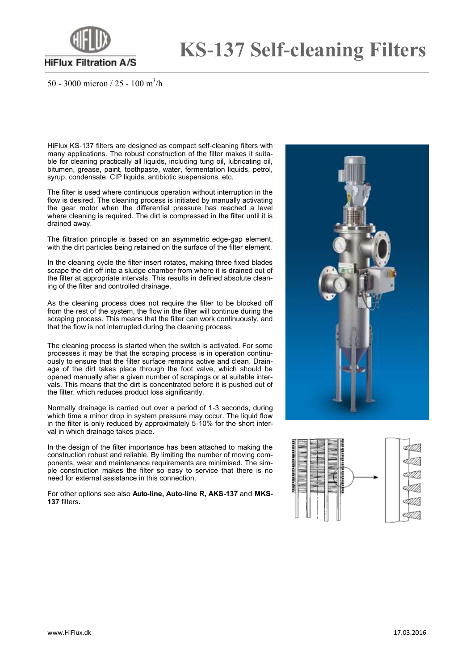

## **KS-137 Self-cleaning Filters**

50 - 3000 micron / 25 - 100 m<sup>3</sup>/h

HiFlux KS-137 filters are designed as compact self-cleaning filters with many applications. The robust construction of the filter makes it suitable for cleaning practically all liquids, including tung oil, lubricating oil, bitumen, grease, paint, toothpaste, water, fermentation liquids, petrol, syrup, condensate, CIP liquids, antibiotic suspensions, etc.

The filter is used where continuous operation without interruption in the flow is desired. The cleaning process is initiated by manually activating the gear motor when the differential pressure has reached a level where cleaning is required. The dirt is compressed in the filter until it is drained away.

The filtration principle is based on an asymmetric edge-gap element, with the dirt particles being retained on the surface of the filter element.

In the cleaning cycle the filter insert rotates, making three fixed blades scrape the dirt off into a sludge chamber from where it is drained out of the filter at appropriate intervals. This results in defined absolute cleaning of the filter and controlled drainage.

As the cleaning process does not require the filter to be blocked off from the rest of the system, the flow in the filter will continue during the scraping process. This means that the filter can work continuously, and that the flow is not interrupted during the cleaning process.

The cleaning process is started when the switch is activated. For some processes it may be that the scraping process is in operation continuously to ensure that the filter surface remains active and clean. Drainage of the dirt takes place through the foot valve, which should be opened manually after a given number of scrapings or at suitable intervals. This means that the dirt is concentrated before it is pushed out of the filter, which reduces product loss significantly.

Normally drainage is carried out over a period of 1-3 seconds, during which time a minor drop in system pressure may occur. The liquid flow in the filter is only reduced by approximately 5-10% for the short interval in which drainage takes place.

In the design of the filter importance has been attached to making the construction robust and reliable. By limiting the number of moving components, wear and maintenance requirements are minimised. The simple construction makes the filter so easy to service that there is no need for external assistance in this connection.

For other options see also **Auto-line, Auto-line R, AKS-137** and **MKS-137** filters**.**